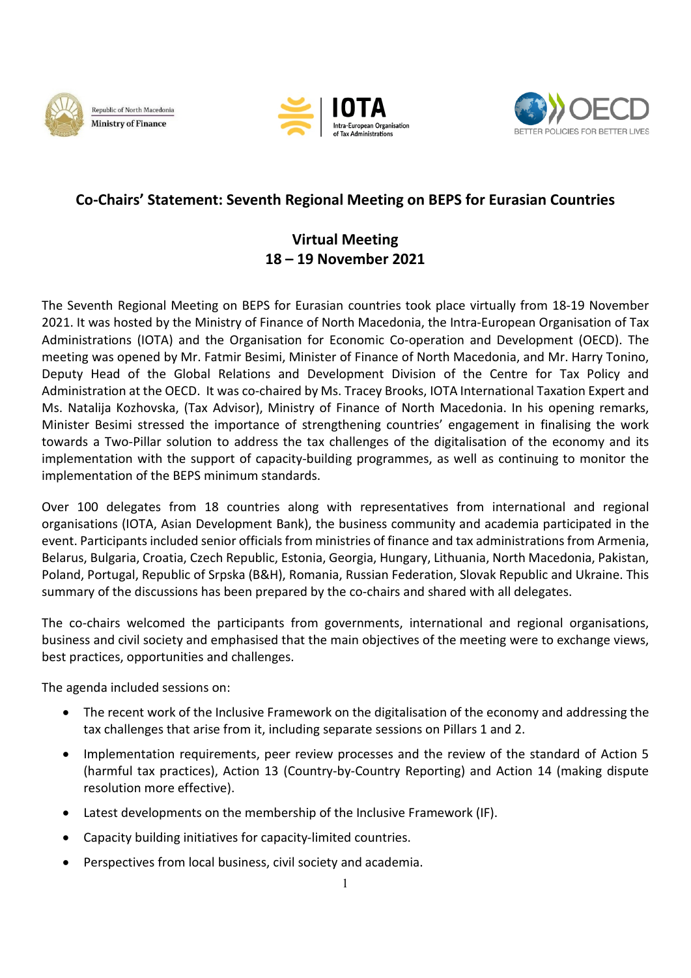





## **Co-Chairs' Statement: Seventh Regional Meeting on BEPS for Eurasian Countries**

## **Virtual Meeting 18 – 19 November 2021**

The Seventh Regional Meeting on BEPS for Eurasian countries took place virtually from 18-19 November 2021. It was hosted by the Ministry of Finance of North Macedonia, the Intra-European Organisation of Tax Administrations (IOTA) and the Organisation for Economic Co-operation and Development (OECD). The meeting was opened by Mr. Fatmir Besimi, Minister of Finance of North Macedonia, and Mr. Harry Tonino, Deputy Head of the Global Relations and Development Division of the Centre for Tax Policy and Administration at the OECD. It was co-chaired by Ms. Tracey Brooks, IOTA International Taxation Expert and Ms. Natalija Kozhovska, (Tax Advisor), Ministry of Finance of North Macedonia. In his opening remarks, Minister Besimi stressed the importance of strengthening countries' engagement in finalising the work towards a Two-Pillar solution to address the tax challenges of the digitalisation of the economy and its implementation with the support of capacity-building programmes, as well as continuing to monitor the implementation of the BEPS minimum standards.

Over 100 delegates from 18 countries along with representatives from international and regional organisations (IOTA, Asian Development Bank), the business community and academia participated in the event. Participants included senior officials from ministries of finance and tax administrations from Armenia, Belarus, Bulgaria, Croatia, Czech Republic, Estonia, Georgia, Hungary, Lithuania, North Macedonia, Pakistan, Poland, Portugal, Republic of Srpska (B&H), Romania, Russian Federation, Slovak Republic and Ukraine. This summary of the discussions has been prepared by the co-chairs and shared with all delegates.

The co-chairs welcomed the participants from governments, international and regional organisations, business and civil society and emphasised that the main objectives of the meeting were to exchange views, best practices, opportunities and challenges.

The agenda included sessions on:

- The recent work of the Inclusive Framework on the digitalisation of the economy and addressing the tax challenges that arise from it, including separate sessions on Pillars 1 and 2.
- Implementation requirements, peer review processes and the review of the standard of Action 5 (harmful tax practices), Action 13 (Country-by-Country Reporting) and Action 14 (making dispute resolution more effective).
- Latest developments on the membership of the Inclusive Framework (IF).
- Capacity building initiatives for capacity-limited countries.
- Perspectives from local business, civil society and academia.